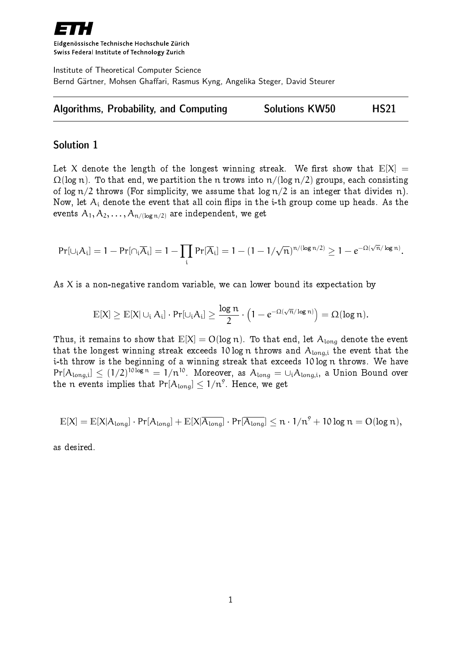

Eidgenössische Technische Hochschule Zürich Swiss Federal Institute of Technology Zurich

Institute of Theoretical Computer Science Bernd Gärtner, Mohsen Ghaffari, Rasmus Kyng, Angelika Steger, David Steurer

| Algorithms, Probability, and Computing | <b>Solutions KW50</b> | <b>HS21</b> |
|----------------------------------------|-----------------------|-------------|
|----------------------------------------|-----------------------|-------------|

## Solution 1

Let X denote the length of the longest winning streak. We first show that  $E[X] =$  $\Omega(\log n)$ . To that end, we partition the n trows into  $n/(\log n/2)$  groups, each consisting of log  $n/2$  throws (For simplicity, we assume that log  $n/2$  is an integer that divides n). Now, let  $A_i$  denote the event that all coin flips in the *i*-th group come up heads. As the events  $A_1, A_2, \ldots, A_{n/(log n/2)}$  are independent, we get

$$
\text{Pr}[\cup_i A_i] = 1 - \text{Pr}[\cap_i \overline{A}_i] = 1 - \prod_i \text{Pr}[\overline{A}_i] = 1 - (1 - 1/\sqrt{n})^{n/(\log n/2)} \geq 1 - e^{-\Omega(\sqrt{n}/\log n)}.
$$

As  $X$  is a non-negative random variable, we can lower bound its expectation by

$$
\mathbb{E}[X] \geq \mathbb{E}[X] \cup_i A_i] \cdot Pr[\cup_i A_i] \geq \frac{\log n}{2} \cdot \left(1 - e^{-\Omega(\sqrt{n}/\log n)}\right) = \Omega(\log n).
$$

Thus, it remains to show that  $E[X] = O(\log n)$ . To that end, let  $A_{\text{long}}$  denote the event that the longest winning streak exceeds 10 log n throws and  $A_{long,i}$  the event that the i-th throw is the beginning of a winning streak that exceeds 10 log n throws. We have  $Pr[A_{\text{long},i}] \leq (1/2)^{10 \log n} = 1/n^{10}$ . Moreover, as  $A_{\text{long}} = \cup_i A_{\text{long},i}$ , a Union Bound over the  $\mathfrak n$  events implies that  $\Pr[\mathcal{A}_{\text{long}}] \leq 1/\mathfrak n^9.$  Hence, we get

$$
\mathbb{E}[X] = \mathbb{E}[X | A_{\text{long}}] \cdot \text{Pr}[A_{\text{long}}] + \mathbb{E}[X | \overline{A_{\text{long}}}] \cdot \text{Pr}[\overline{A_{\text{long}}}] \leq n \cdot 1/n^9 + 10 \log n = O(\log n),
$$

as desired.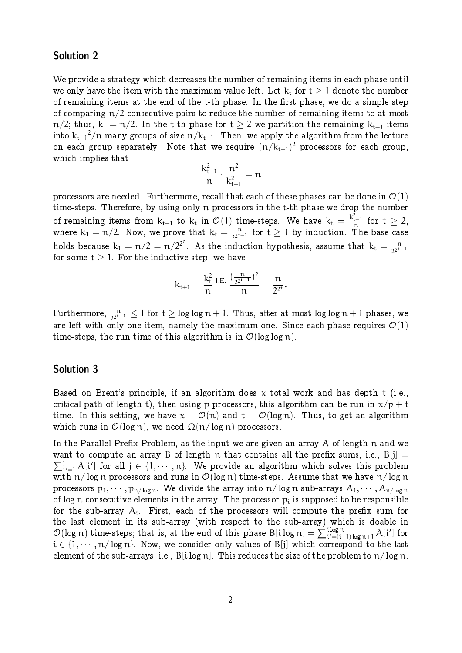## Solution 2

We provide a strategy which decreases the number of remaining items in each phase until we only have the item with the maximum value left. Let  $k_t$  for  $t > 1$  denote the number of remaining items at the end of the t-th phase. In the first phase, we do a simple step of comparing  $n/2$  consecutive pairs to reduce the number of remaining items to at most n/2; thus,  $k_1 = n/2$ . In the t-th phase for  $t > 2$  we partition the remaining  $k_{t-1}$  items into  ${\rm k_{t-1}}^2/n$  many groups of size  ${\rm n/k_{t-1}}.$  Then, we apply the algorithm from the lecture on each group separately. Note that we require  $(n/k_{\mathrm{t}-1})^2$  processors for each group, which implies that

$$
\frac{k_{t-1}^2}{n} \cdot \frac{n^2}{k_{t-1}^2} = n
$$

processors are needed. Furthermore, recall that each of these phases can be done in  $\mathcal{O}(1)$ time-steps. Therefore, by using only n processors in the t-th phase we drop the number of remaining items from  $k_{t-1}$  to  $k_t$  in  $\mathcal{O}(1)$  time-steps. We have  $k_t = \frac{k_{t-1}^2}{n}$  for  $t \geq 2$ , where  $k_1 = n/2$ . Now, we prove that  $k_t = \frac{n}{22^{t-1}}$  $\frac{n}{2^{2^{t-1}}}$  for t  $\geq 1$  by induction. The base case holds because  $k_1 = n/2 = n/2^{2^{\circ}}$ . As the induction hypothesis, assume that  $k_t = \frac{n}{2^{2^{t + 1}}}$  $2^{2t-1}$ for some  $t \geq 1$ . For the inductive step, we have

$$
k_{t+1} = \frac{k_t^2}{n} \stackrel{\text{I.H.}}{=} \frac{(\frac{n}{2^{2^{t-1}}})^2}{n} = \frac{n}{2^{2^t}}.
$$

Furthermore,  $\frac{n}{2^{2^{t-1}}} \leq 1$  for  $t \geq \log\log n + 1$ . Thus, after at most  $\log\log n + 1$  phases, we are left with only one item, namely the maximum one. Since each phase requires  $\mathcal{O}(1)$ time-steps, the run time of this algorithm is in  $\mathcal{O}(\log \log n)$ .

### Solution 3

Based on Brent's principle, if an algorithm does x total work and has depth t (i.e., critical path of length t), then using p processors, this algorithm can be run in  $x/p + t$ time. In this setting, we have  $x = \mathcal{O}(n)$  and  $t = \mathcal{O}(\log n)$ . Thus, to get an algorithm which runs in  $\mathcal{O}(\log n)$ , we need  $\Omega(n/\log n)$  processors.

In the Parallel Prefix Problem, as the input we are given an array  $A$  of length  $n$  and we  $\sum_i$ want to compute an array B of length n that contains all the prefix sums, i.e.,  $B[i] =$  $\mathcal{P}_{i'=1}$  A[i'] for all  $j \in \{1, \cdots, n\}$ . We provide an algorithm which solves this problem with  $n/\log n$  processors and runs in  $\mathcal{O}(\log n)$  time-steps. Assume that we have  $n/\log n$ processors  $p_1, \dots, p_{n/\log n}$ . We divide the array into  $n/\log n$  sub-arrays  $A_1, \dots, A_{n/\log n}$ of log  $\mathfrak n$  consecutive elements in the array. The processor  $\mathfrak p_i$  is supposed to be responsible for the sub-array  $\bm{\mathsf{A}}_{\text{i}}.$  First, each of the processors will compute the prefix sum for the last element in its sub-array (with respect to the sub-array) which is doable in  $\mathcal{O}(\log n)$  time-steps; that is, at the end of this phase B[ilog n] =  $\sum_{i'=(i-1)\log n+1}^{i \log n} A[i']$  for  $i \in \{1, \dots, n/\log n\}$ . Now, we consider only values of B[j] which correspond to the last element of the sub-arrays, i.e.,  $B[i\log n]$ . This reduces the size of the problem to  $n/\log n$ .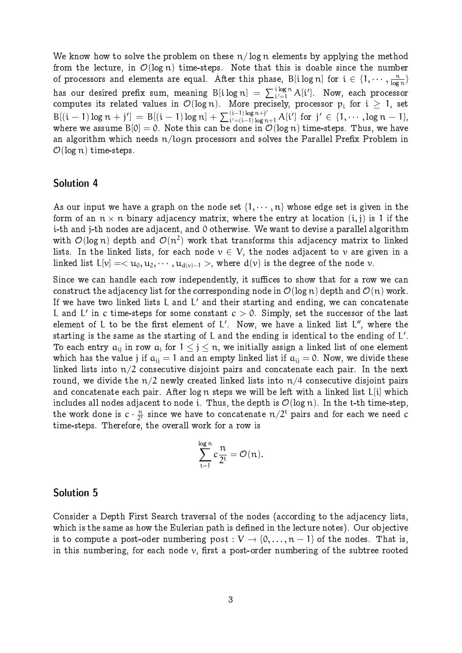We know how to solve the problem on these  $n/log n$  elements by applying the method from the lecture, in  $\mathcal{O}(\log n)$  time-steps. Note that this is doable since the number of processors and elements are equal. After this phase,  $\mathsf{B}[\mathfrak{i}\log n]$  for  $\mathfrak{i}\in \{1,\cdots,\frac{\mathfrak{n}}{\log n}\}$  $\frac{n}{\log n}$ has our desired prefix sum, meaning B[ilog n]  $= \, \sum_{i'=1}^{\,\,\mathrm{i} \log n} A[i'] .\,$  Now, each processor computes its related values in  $\mathcal{O}(\log n)$ . More precisely, processor  $p_i$  for  $i \geq 1$ , set  $B[(i-1)\log n + j'] = B[(i-1)\log n] + \sum_{i'=(i-1)\log n + j'}^{(i-1)\log n + j'} A[i']$  for  $j' \in \{1, \dots, \log n - 1\}$ , where we assume  $B[0] = 0$ . Note this can be done in  $\mathcal{O}(\log n)$  time-steps. Thus, we have an algorithm which needs  $n/logn$  processors and solves the Parallel Prefix Problem in  $\mathcal{O}(\log n)$  time-steps.

#### Solution 4

As our input we have a graph on the node set  $\{1, \dots, n\}$  whose edge set is given in the form of an  $n \times n$  binary adjacency matrix, where the entry at location  $(i, j)$  is 1 if the i-th and j-th nodes are adjacent, and 0 otherwise. We want to devise a parallel algorithm with  $\mathcal{O}(\log n)$  depth and  $\mathcal{O}(n^2)$  work that transforms this adjacency matrix to linked lists. In the linked lists, for each node  $v \in V$ , the nodes adjacent to v are given in a linked list  $L[v] = \langle u_0, u_1, \dots, u_{d(v)-1} \rangle$ , where  $d(v)$  is the degree of the node v.

Since we can handle each row independently, it suffices to show that for a row we can construct the adjacency list for the corresponding node in  $\mathcal{O}(\log n)$  depth and  $\mathcal{O}(n)$  work. If we have two linked lists L and L' and their starting and ending, we can concatenate L and L' in  $\rm{c\ time\ steps}$  for some constant  $\rm{c} > 0.$  Simply, set the successor of the last element of  ${\mathsf L}$  to be the first element of  ${\mathsf L}'$ . Now, we have a linked list  ${\mathsf L}''$ , where the starting is the same as the starting of L and the ending is identical to the ending of  $\mathsf{L}'$ . To each entry  $a_{ij}$  in row  $a_i$  for  $1 \leq j \leq n$ , we initially assign a linked list of one element which has the value j if  $a_{ij} = 1$  and an empty linked list if  $a_{ij} = 0$ . Now, we divide these linked lists into  $n/2$  consecutive disjoint pairs and concatenate each pair. In the next round, we divide the  $n/2$  newly created linked lists into  $n/4$  consecutive disjoint pairs and concatenate each pair. After log n steps we will be left with a linked list L[i] which includes all nodes adjacent to node i. Thus, the depth is  $\mathcal{O}(\log n)$ . In the t-th time-step, the work done is  $c \cdot \frac{n}{2^n}$  $\frac{n}{2^t}$  since we have to concatenate  $n/2^t$  pairs and for each we need  $c$ time-steps. Therefore, the overall work for a row is

$$
\sum_{t=1}^{\log n} c \frac{n}{2^t} = \mathcal{O}(n).
$$

#### Solution 5

Consider a Depth First Search traversal of the nodes (according to the adjacency lists, which is the same as how the Eulerian path is defined in the lecture notes). Our objective is to compute a post-oder numbering post :  $V \rightarrow \{0, \ldots, n-1\}$  of the nodes. That is, in this numbering, for each node  $\nu$ , first a post-order numbering of the subtree rooted